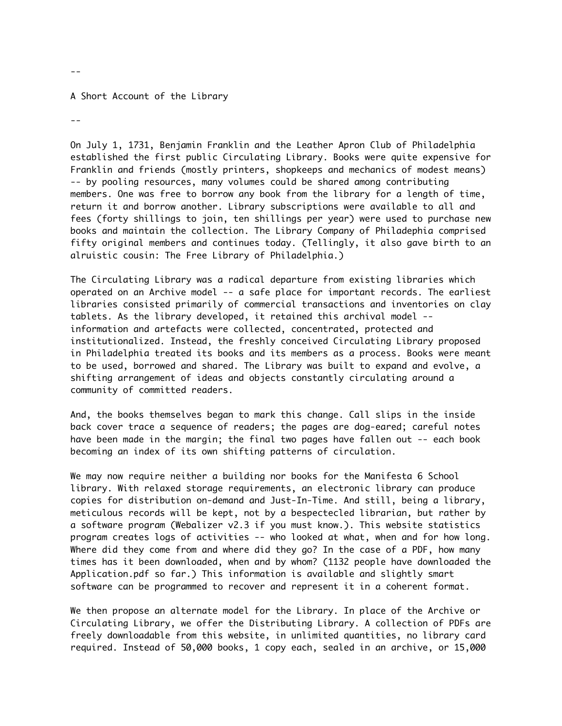## A Short Account of the Library

--

--

On July 1, 1731, Benjamin Franklin and the Leather Apron Club of Philadelphia established the first public Circulating Library. Books were quite expensive for Franklin and friends (mostly printers, shopkeeps and mechanics of modest means) -- by pooling resources, many volumes could be shared among contributing members. One was free to borrow any book from the library for a length of time, return it and borrow another. Library subscriptions were available to all and fees (forty shillings to join, ten shillings per year) were used to purchase new books and maintain the collection. The Library Company of Philadephia comprised fifty original members and continues today. (Tellingly, it also gave birth to an alruistic cousin: The Free Library of Philadelphia.)

The Circulating Library was a radical departure from existing libraries which operated on an Archive model -- a safe place for important records. The earliest libraries consisted primarily of commercial transactions and inventories on clay tablets. As the library developed, it retained this archival model - information and artefacts were collected, concentrated, protected and institutionalized. Instead, the freshly conceived Circulating Library proposed in Philadelphia treated its books and its members as a process. Books were meant to be used, borrowed and shared. The Library was built to expand and evolve, a shifting arrangement of ideas and objects constantly circulating around a community of committed readers.

And, the books themselves began to mark this change. Call slips in the inside back cover trace a sequence of readers; the pages are dog-eared; careful notes have been made in the margin; the final two pages have fallen out -- each book becoming an index of its own shifting patterns of circulation.

We may now require neither a building nor books for the Manifesta 6 School library. With relaxed storage requirements, an electronic library can produce copies for distribution on-demand and Just-In-Time. And still, being a library, meticulous records will be kept, not by a bespectecled librarian, but rather by a software program (Webalizer v2.3 if you must know.). This website statistics program creates logs of activities -- who looked at what, when and for how long. Where did they come from and where did they go? In the case of a PDF, how many times has it been downloaded, when and by whom? (1132 people have downloaded the Application.pdf so far.) This information is available and slightly smart software can be programmed to recover and represent it in a coherent format.

We then propose an alternate model for the Library. In place of the Archive or Circulating Library, we offer the Distributing Library. A collection of PDFs are freely downloadable from this website, in unlimited quantities, no library card required. Instead of 50,000 books, 1 copy each, sealed in an archive, or 15,000